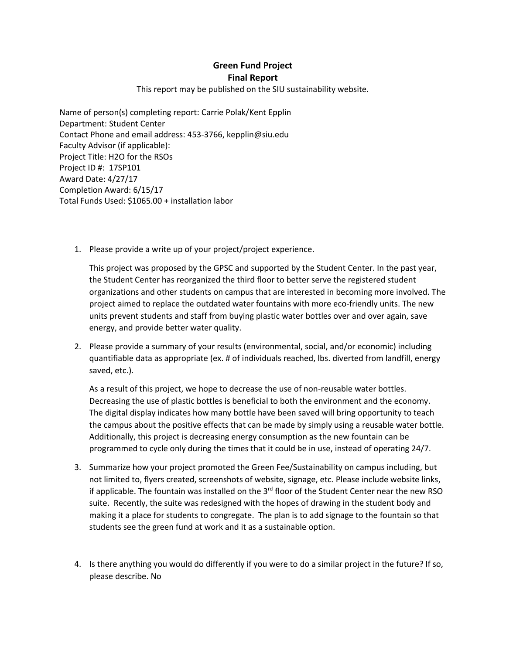## **Green Fund Project Final Report**

## This report may be published on the SIU sustainability website.

Name of person(s) completing report: Carrie Polak/Kent Epplin Department: Student Center Contact Phone and email address: 453-3766, kepplin@siu.edu Faculty Advisor (if applicable): Project Title: H2O for the RSOs Project ID #: 17SP101 Award Date: 4/27/17 Completion Award: 6/15/17 Total Funds Used: \$1065.00 + installation labor

1. Please provide a write up of your project/project experience.

This project was proposed by the GPSC and supported by the Student Center. In the past year, the Student Center has reorganized the third floor to better serve the registered student organizations and other students on campus that are interested in becoming more involved. The project aimed to replace the outdated water fountains with more eco-friendly units. The new units prevent students and staff from buying plastic water bottles over and over again, save energy, and provide better water quality.

2. Please provide a summary of your results (environmental, social, and/or economic) including quantifiable data as appropriate (ex. # of individuals reached, lbs. diverted from landfill, energy saved, etc.).

As a result of this project, we hope to decrease the use of non-reusable water bottles. Decreasing the use of plastic bottles is beneficial to both the environment and the economy. The digital display indicates how many bottle have been saved will bring opportunity to teach the campus about the positive effects that can be made by simply using a reusable water bottle. Additionally, this project is decreasing energy consumption as the new fountain can be programmed to cycle only during the times that it could be in use, instead of operating 24/7.

- 3. Summarize how your project promoted the Green Fee/Sustainability on campus including, but not limited to, flyers created, screenshots of website, signage, etc. Please include website links, if applicable. The fountain was installed on the  $3<sup>rd</sup>$  floor of the Student Center near the new RSO suite. Recently, the suite was redesigned with the hopes of drawing in the student body and making it a place for students to congregate. The plan is to add signage to the fountain so that students see the green fund at work and it as a sustainable option.
- 4. Is there anything you would do differently if you were to do a similar project in the future? If so, please describe. No